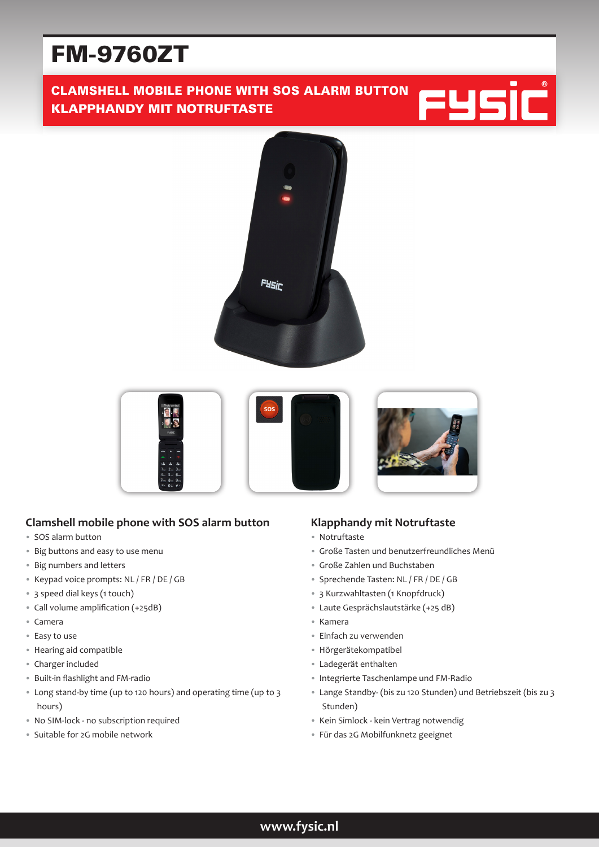# FM-9760ZT

# CLAMSHELL MOBILE PHONE WITH SOS ALARM BUTTON KLAPPHANDY MIT NOTRUFTASTE





## **Clamshell mobile phone with SOS alarm button**

- SOS alarm button
- Big buttons and easy to use menu
- Big numbers and letters
- Keypad voice prompts: NL / FR / DE / GB
- 3 speed dial keys (1 touch)
- Call volume amplification (+25dB)
- Camera
- Easy to use
- Hearing aid compatible
- Charger included
- Built-in flashlight and FM-radio
- Long stand-by time (up to 120 hours) and operating time (up to 3 hours)
- No SIM-lock no subscription required
- Suitable for 2G mobile network

## **Klapphandy mit Notruftaste**

- Notruftaste
- Große Tasten und benutzerfreundliches Menü
- Große Zahlen und Buchstaben
- Sprechende Tasten: NL / FR / DE / GB
- 3 Kurzwahltasten (1 Knopfdruck)
- Laute Gesprächslautstärke (+25 dB)
- Kamera
- Einfach zu verwenden
- Hörgerätekompatibel
- Ladegerät enthalten
- Integrierte Taschenlampe und FM-Radio
- Lange Standby- (bis zu 120 Stunden) und Betriebszeit (bis zu 3 Stunden)
- Kein Simlock kein Vertrag notwendig
- Für das 2G Mobilfunknetz geeignet